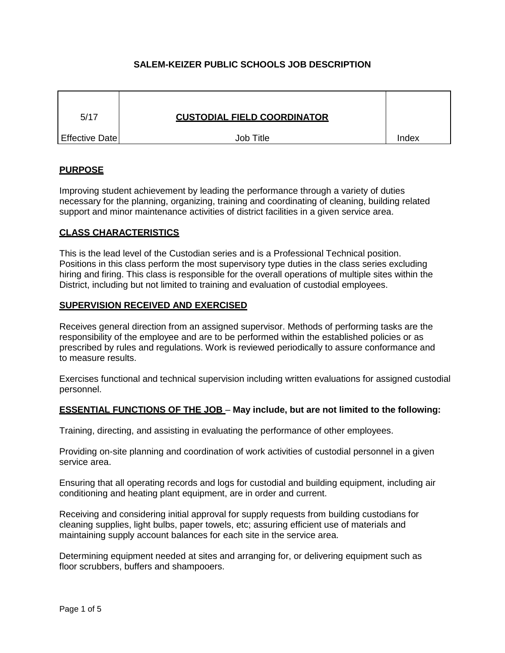# **SALEM-KEIZER PUBLIC SCHOOLS JOB DESCRIPTION**

| 5/17                  | <b>CUSTODIAL FIELD COORDINATOR</b> |       |
|-----------------------|------------------------------------|-------|
| <b>Effective Date</b> | Job Title                          | Index |

# **PURPOSE**

Improving student achievement by leading the performance through a variety of duties necessary for the planning, organizing, training and coordinating of cleaning, building related support and minor maintenance activities of district facilities in a given service area.

#### **CLASS CHARACTERISTICS**

This is the lead level of the Custodian series and is a Professional Technical position. Positions in this class perform the most supervisory type duties in the class series excluding hiring and firing. This class is responsible for the overall operations of multiple sites within the District, including but not limited to training and evaluation of custodial employees.

#### **SUPERVISION RECEIVED AND EXERCISED**

Receives general direction from an assigned supervisor. Methods of performing tasks are the responsibility of the employee and are to be performed within the established policies or as prescribed by rules and regulations. Work is reviewed periodically to assure conformance and to measure results.

Exercises functional and technical supervision including written evaluations for assigned custodial personnel.

#### **ESSENTIAL FUNCTIONS OF THE JOB** – **May include, but are not limited to the following:**

Training, directing, and assisting in evaluating the performance of other employees.

Providing on-site planning and coordination of work activities of custodial personnel in a given service area.

Ensuring that all operating records and logs for custodial and building equipment, including air conditioning and heating plant equipment, are in order and current.

Receiving and considering initial approval for supply requests from building custodians for cleaning supplies, light bulbs, paper towels, etc; assuring efficient use of materials and maintaining supply account balances for each site in the service area.

Determining equipment needed at sites and arranging for, or delivering equipment such as floor scrubbers, buffers and shampooers.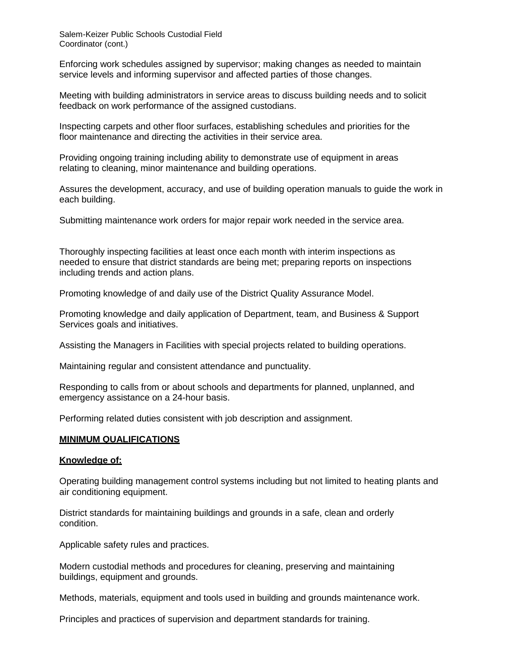Enforcing work schedules assigned by supervisor; making changes as needed to maintain service levels and informing supervisor and affected parties of those changes.

Meeting with building administrators in service areas to discuss building needs and to solicit feedback on work performance of the assigned custodians.

Inspecting carpets and other floor surfaces, establishing schedules and priorities for the floor maintenance and directing the activities in their service area.

Providing ongoing training including ability to demonstrate use of equipment in areas relating to cleaning, minor maintenance and building operations.

Assures the development, accuracy, and use of building operation manuals to guide the work in each building.

Submitting maintenance work orders for major repair work needed in the service area.

Thoroughly inspecting facilities at least once each month with interim inspections as needed to ensure that district standards are being met; preparing reports on inspections including trends and action plans.

Promoting knowledge of and daily use of the District Quality Assurance Model.

Promoting knowledge and daily application of Department, team, and Business & Support Services goals and initiatives.

Assisting the Managers in Facilities with special projects related to building operations.

Maintaining regular and consistent attendance and punctuality.

Responding to calls from or about schools and departments for planned, unplanned, and emergency assistance on a 24-hour basis.

Performing related duties consistent with job description and assignment.

#### **MINIMUM QUALIFICATIONS**

#### **Knowledge of:**

Operating building management control systems including but not limited to heating plants and air conditioning equipment.

District standards for maintaining buildings and grounds in a safe, clean and orderly condition.

Applicable safety rules and practices.

Modern custodial methods and procedures for cleaning, preserving and maintaining buildings, equipment and grounds.

Methods, materials, equipment and tools used in building and grounds maintenance work.

Principles and practices of supervision and department standards for training.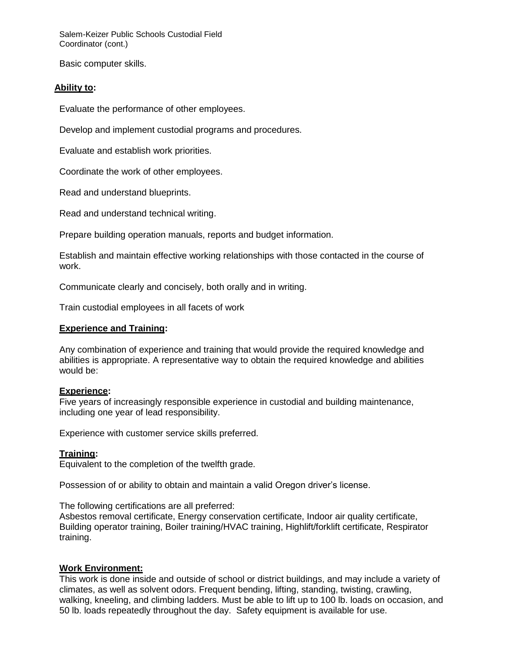Basic computer skills.

# **Ability to:**

Evaluate the performance of other employees.

Develop and implement custodial programs and procedures.

Evaluate and establish work priorities.

Coordinate the work of other employees.

Read and understand blueprints.

Read and understand technical writing.

Prepare building operation manuals, reports and budget information.

Establish and maintain effective working relationships with those contacted in the course of work.

Communicate clearly and concisely, both orally and in writing.

Train custodial employees in all facets of work

### **Experience and Training:**

Any combination of experience and training that would provide the required knowledge and abilities is appropriate. A representative way to obtain the required knowledge and abilities would be:

#### **Experience:**

Five years of increasingly responsible experience in custodial and building maintenance, including one year of lead responsibility.

Experience with customer service skills preferred.

# **Training:**

Equivalent to the completion of the twelfth grade.

Possession of or ability to obtain and maintain a valid Oregon driver's license.

The following certifications are all preferred:

Asbestos removal certificate, Energy conservation certificate, Indoor air quality certificate, Building operator training, Boiler training/HVAC training, Highlift/forklift certificate, Respirator training.

# **Work Environment:**

This work is done inside and outside of school or district buildings, and may include a variety of climates, as well as solvent odors. Frequent bending, lifting, standing, twisting, crawling, walking, kneeling, and climbing ladders. Must be able to lift up to 100 lb. loads on occasion, and 50 lb. loads repeatedly throughout the day. Safety equipment is available for use.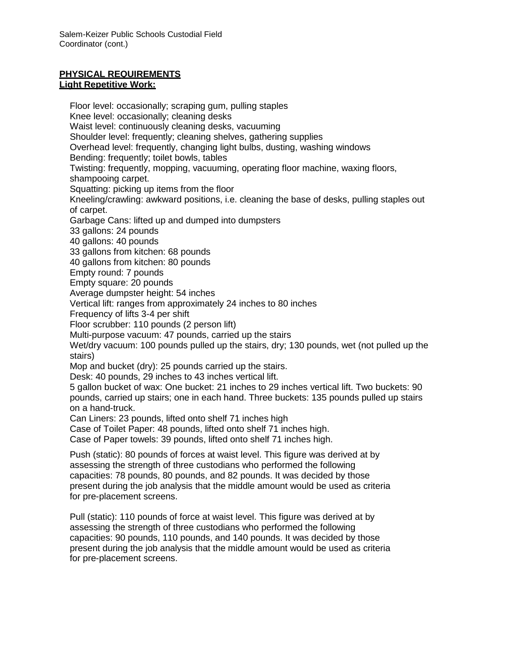## **PHYSICAL REQUIREMENTS Light Repetitive Work:**

Floor level: occasionally; scraping gum, pulling staples Knee level: occasionally; cleaning desks Waist level: continuously cleaning desks, vacuuming Shoulder level: frequently; cleaning shelves, gathering supplies Overhead level: frequently, changing light bulbs, dusting, washing windows Bending: frequently; toilet bowls, tables Twisting: frequently, mopping, vacuuming, operating floor machine, waxing floors, shampooing carpet. Squatting: picking up items from the floor Kneeling/crawling: awkward positions, i.e. cleaning the base of desks, pulling staples out of carpet. Garbage Cans: lifted up and dumped into dumpsters 33 gallons: 24 pounds 40 gallons: 40 pounds 33 gallons from kitchen: 68 pounds 40 gallons from kitchen: 80 pounds Empty round: 7 pounds Empty square: 20 pounds Average dumpster height: 54 inches Vertical lift: ranges from approximately 24 inches to 80 inches Frequency of lifts 3-4 per shift Floor scrubber: 110 pounds (2 person lift) Multi-purpose vacuum: 47 pounds, carried up the stairs Wet/dry vacuum: 100 pounds pulled up the stairs, dry; 130 pounds, wet (not pulled up the stairs) Mop and bucket (dry): 25 pounds carried up the stairs. Desk: 40 pounds, 29 inches to 43 inches vertical lift. 5 gallon bucket of wax: One bucket: 21 inches to 29 inches vertical lift. Two buckets: 90 pounds, carried up stairs; one in each hand. Three buckets: 135 pounds pulled up stairs on a hand-truck. Can Liners: 23 pounds, lifted onto shelf 71 inches high Case of Toilet Paper: 48 pounds, lifted onto shelf 71 inches high. Case of Paper towels: 39 pounds, lifted onto shelf 71 inches high. Push (static): 80 pounds of forces at waist level. This figure was derived at by assessing the strength of three custodians who performed the following capacities: 78 pounds, 80 pounds, and 82 pounds. It was decided by those present during the job analysis that the middle amount would be used as criteria for pre-placement screens. Pull (static): 110 pounds of force at waist level. This figure was derived at by assessing the strength of three custodians who performed the following

capacities: 90 pounds, 110 pounds, and 140 pounds. It was decided by those present during the job analysis that the middle amount would be used as criteria for pre-placement screens.